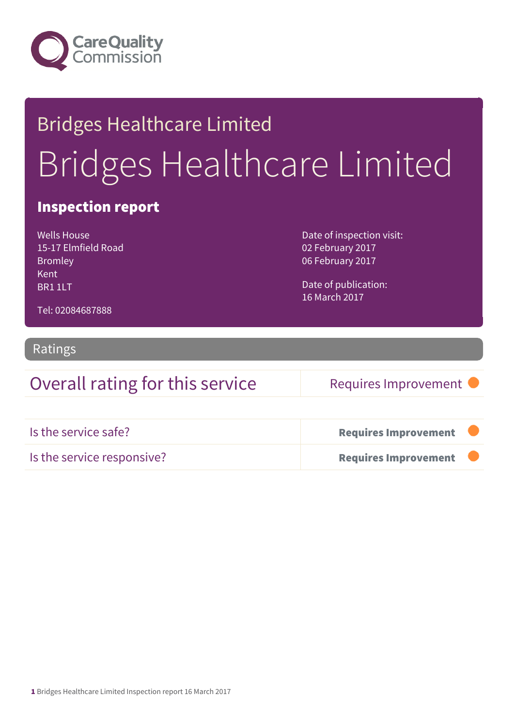

# Bridges Healthcare Limited Bridges Healthcare Limited

### Inspection report

Wells House 15-17 Elmfield Road Bromley Kent BR1 1LT

Date of inspection visit: 02 February 2017 06 February 2017

Date of publication: 16 March 2017

Tel: 02084687888

#### Ratings

### Overall rating for this service Requires Improvement

| Is the service safe?       | <b>Requires Improvement</b> |  |
|----------------------------|-----------------------------|--|
| Is the service responsive? | <b>Requires Improvement</b> |  |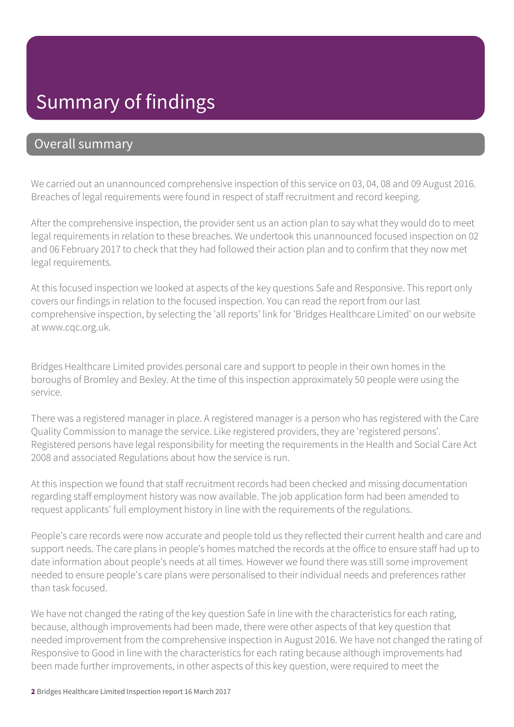## Summary of findings

#### Overall summary

We carried out an unannounced comprehensive inspection of this service on 03, 04, 08 and 09 August 2016. Breaches of legal requirements were found in respect of staff recruitment and record keeping.

After the comprehensive inspection, the provider sent us an action plan to say what they would do to meet legal requirements in relation to these breaches. We undertook this unannounced focused inspection on 02 and 06 February 2017 to check that they had followed their action plan and to confirm that they now met legal requirements.

At this focused inspection we looked at aspects of the key questions Safe and Responsive. This report only covers our findings in relation to the focused inspection. You can read the report from our last comprehensive inspection, by selecting the 'all reports' link for 'Bridges Healthcare Limited' on our website at www.cqc.org.uk.

Bridges Healthcare Limited provides personal care and support to people in their own homes in the boroughs of Bromley and Bexley. At the time of this inspection approximately 50 people were using the service.

There was a registered manager in place. A registered manager is a person who has registered with the Care Quality Commission to manage the service. Like registered providers, they are 'registered persons'. Registered persons have legal responsibility for meeting the requirements in the Health and Social Care Act 2008 and associated Regulations about how the service is run.

At this inspection we found that staff recruitment records had been checked and missing documentation regarding staff employment history was now available. The job application form had been amended to request applicants' full employment history in line with the requirements of the regulations.

People's care records were now accurate and people told us they reflected their current health and care and support needs. The care plans in people's homes matched the records at the office to ensure staff had up to date information about people's needs at all times. However we found there was still some improvement needed to ensure people's care plans were personalised to their individual needs and preferences rather than task focused.

We have not changed the rating of the key question Safe in line with the characteristics for each rating, because, although improvements had been made, there were other aspects of that key question that needed improvement from the comprehensive inspection in August 2016. We have not changed the rating of Responsive to Good in line with the characteristics for each rating because although improvements had been made further improvements, in other aspects of this key question, were required to meet the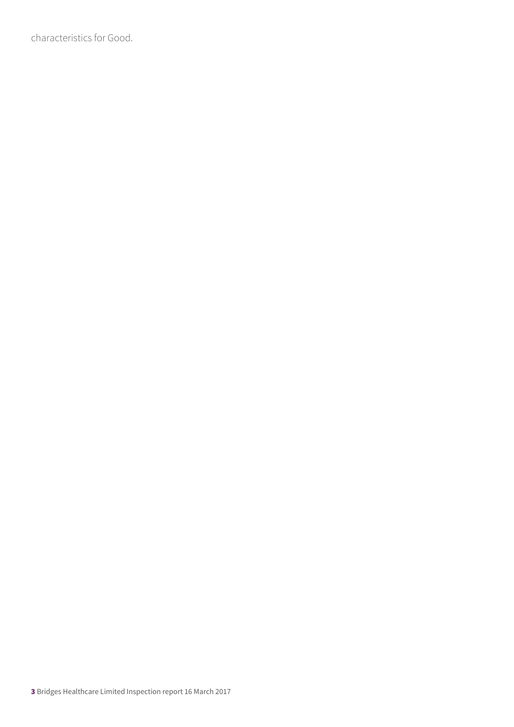characteristics for Good.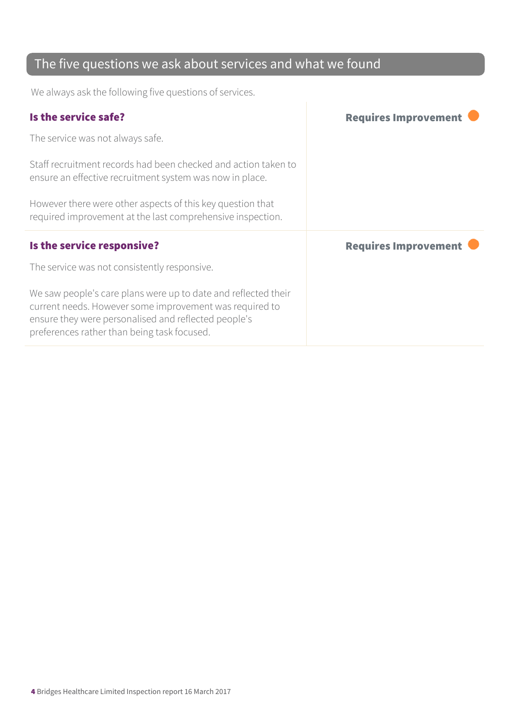### The five questions we ask about services and what we found

We always ask the following five questions of services.

| Is the service safe?                                                                                                                                                                                                             | <b>Requires Improvement</b> |
|----------------------------------------------------------------------------------------------------------------------------------------------------------------------------------------------------------------------------------|-----------------------------|
| The service was not always safe.                                                                                                                                                                                                 |                             |
| Staff recruitment records had been checked and action taken to<br>ensure an effective recruitment system was now in place.                                                                                                       |                             |
| However there were other aspects of this key question that<br>required improvement at the last comprehensive inspection.                                                                                                         |                             |
| Is the service responsive?                                                                                                                                                                                                       | <b>Requires Improvement</b> |
| The service was not consistently responsive.                                                                                                                                                                                     |                             |
| We saw people's care plans were up to date and reflected their<br>current needs. However some improvement was required to<br>ensure they were personalised and reflected people's<br>preferences rather than being task focused. |                             |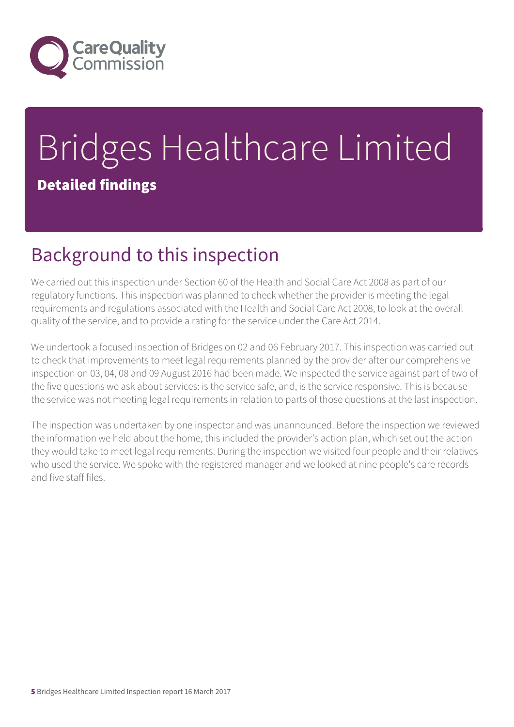

# Bridges Healthcare Limited Detailed findings

# Background to this inspection

We carried out this inspection under Section 60 of the Health and Social Care Act 2008 as part of our regulatory functions. This inspection was planned to check whether the provider is meeting the legal requirements and regulations associated with the Health and Social Care Act 2008, to look at the overall quality of the service, and to provide a rating for the service under the Care Act 2014.

We undertook a focused inspection of Bridges on 02 and 06 February 2017. This inspection was carried out to check that improvements to meet legal requirements planned by the provider after our comprehensive inspection on 03, 04, 08 and 09 August 2016 had been made. We inspected the service against part of two of the five questions we ask about services: is the service safe, and, is the service responsive. This is because the service was not meeting legal requirements in relation to parts of those questions at the last inspection.

The inspection was undertaken by one inspector and was unannounced. Before the inspection we reviewed the information we held about the home, this included the provider's action plan, which set out the action they would take to meet legal requirements. During the inspection we visited four people and their relatives who used the service. We spoke with the registered manager and we looked at nine people's care records and five staff files.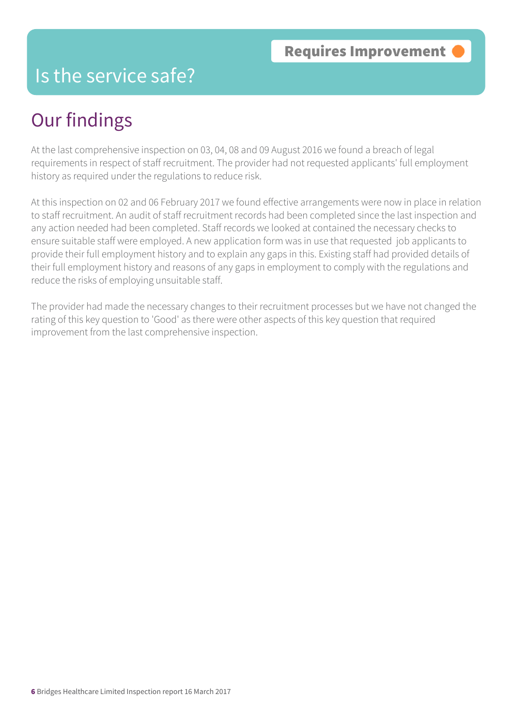## Is the service safe?

## Our findings

At the last comprehensive inspection on 03, 04, 08 and 09 August 2016 we found a breach of legal requirements in respect of staff recruitment. The provider had not requested applicants' full employment history as required under the regulations to reduce risk.

At this inspection on 02 and 06 February 2017 we found effective arrangements were now in place in relation to staff recruitment. An audit of staff recruitment records had been completed since the last inspection and any action needed had been completed. Staff records we looked at contained the necessary checks to ensure suitable staff were employed. A new application form was in use that requested job applicants to provide their full employment history and to explain any gaps in this. Existing staff had provided details of their full employment history and reasons of any gaps in employment to comply with the regulations and reduce the risks of employing unsuitable staff.

The provider had made the necessary changes to their recruitment processes but we have not changed the rating of this key question to 'Good' as there were other aspects of this key question that required improvement from the last comprehensive inspection.